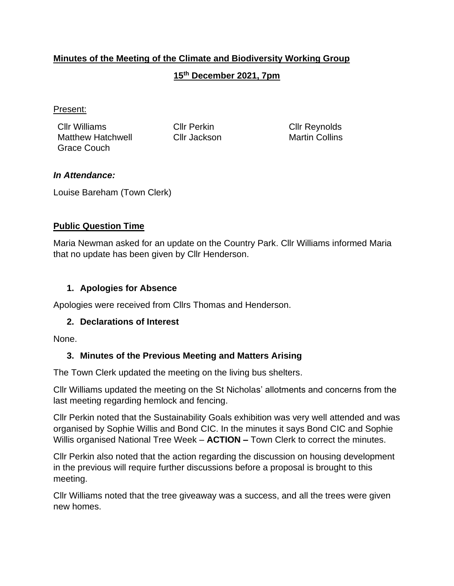## **Minutes of the Meeting of the Climate and Biodiversity Working Group**

#### **15th December 2021, 7pm**

#### Present:

Cllr Williams Cllr Perkin Cllr Reynolds Matthew Hatchwell Cllr Jackson Martin Collins Grace Couch

#### *In Attendance:*

Louise Bareham (Town Clerk)

#### **Public Question Time**

Maria Newman asked for an update on the Country Park. Cllr Williams informed Maria that no update has been given by Cllr Henderson.

#### **1. Apologies for Absence**

Apologies were received from Cllrs Thomas and Henderson.

#### **2. Declarations of Interest**

None.

#### **3. Minutes of the Previous Meeting and Matters Arising**

The Town Clerk updated the meeting on the living bus shelters.

Cllr Williams updated the meeting on the St Nicholas' allotments and concerns from the last meeting regarding hemlock and fencing.

Cllr Perkin noted that the Sustainability Goals exhibition was very well attended and was organised by Sophie Willis and Bond CIC. In the minutes it says Bond CIC and Sophie Willis organised National Tree Week – **ACTION –** Town Clerk to correct the minutes.

Cllr Perkin also noted that the action regarding the discussion on housing development in the previous will require further discussions before a proposal is brought to this meeting.

Cllr Williams noted that the tree giveaway was a success, and all the trees were given new homes.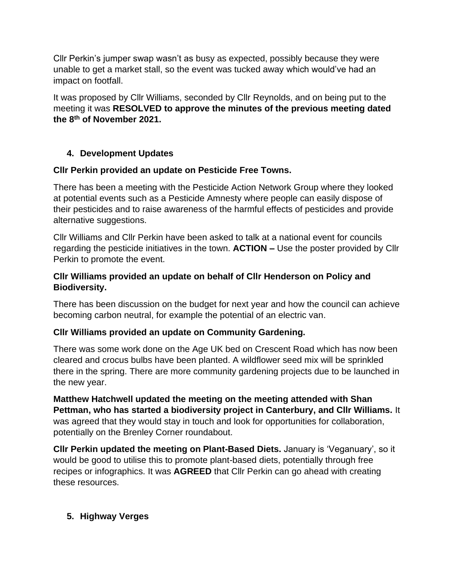Cllr Perkin's jumper swap wasn't as busy as expected, possibly because they were unable to get a market stall, so the event was tucked away which would've had an impact on footfall.

It was proposed by Cllr Williams, seconded by Cllr Reynolds, and on being put to the meeting it was **RESOLVED to approve the minutes of the previous meeting dated the 8th of November 2021.**

## **4. Development Updates**

#### **Cllr Perkin provided an update on Pesticide Free Towns.**

There has been a meeting with the Pesticide Action Network Group where they looked at potential events such as a Pesticide Amnesty where people can easily dispose of their pesticides and to raise awareness of the harmful effects of pesticides and provide alternative suggestions.

Cllr Williams and Cllr Perkin have been asked to talk at a national event for councils regarding the pesticide initiatives in the town. **ACTION –** Use the poster provided by Cllr Perkin to promote the event.

#### **Cllr Williams provided an update on behalf of Cllr Henderson on Policy and Biodiversity.**

There has been discussion on the budget for next year and how the council can achieve becoming carbon neutral, for example the potential of an electric van.

#### **Cllr Williams provided an update on Community Gardening.**

There was some work done on the Age UK bed on Crescent Road which has now been cleared and crocus bulbs have been planted. A wildflower seed mix will be sprinkled there in the spring. There are more community gardening projects due to be launched in the new year.

**Matthew Hatchwell updated the meeting on the meeting attended with Shan Pettman, who has started a biodiversity project in Canterbury, and Cllr Williams.** It was agreed that they would stay in touch and look for opportunities for collaboration, potentially on the Brenley Corner roundabout.

**Cllr Perkin updated the meeting on Plant-Based Diets.** January is 'Veganuary', so it would be good to utilise this to promote plant-based diets, potentially through free recipes or infographics. It was **AGREED** that Cllr Perkin can go ahead with creating these resources.

#### **5. Highway Verges**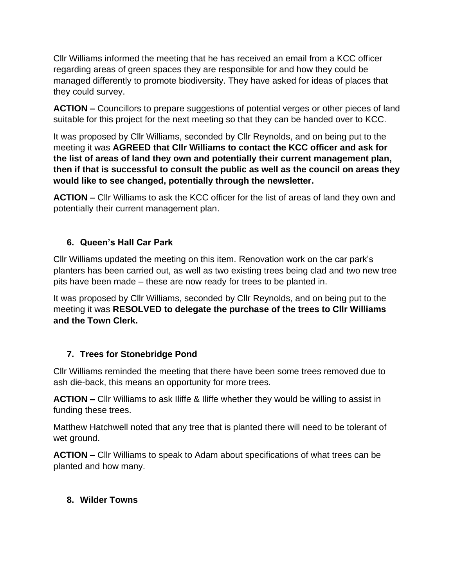Cllr Williams informed the meeting that he has received an email from a KCC officer regarding areas of green spaces they are responsible for and how they could be managed differently to promote biodiversity. They have asked for ideas of places that they could survey.

**ACTION –** Councillors to prepare suggestions of potential verges or other pieces of land suitable for this project for the next meeting so that they can be handed over to KCC.

It was proposed by Cllr Williams, seconded by Cllr Reynolds, and on being put to the meeting it was **AGREED that Cllr Williams to contact the KCC officer and ask for the list of areas of land they own and potentially their current management plan, then if that is successful to consult the public as well as the council on areas they would like to see changed, potentially through the newsletter.**

**ACTION –** Cllr Williams to ask the KCC officer for the list of areas of land they own and potentially their current management plan.

## **6. Queen's Hall Car Park**

Cllr Williams updated the meeting on this item. Renovation work on the car park's planters has been carried out, as well as two existing trees being clad and two new tree pits have been made – these are now ready for trees to be planted in.

It was proposed by Cllr Williams, seconded by Cllr Reynolds, and on being put to the meeting it was **RESOLVED to delegate the purchase of the trees to Cllr Williams and the Town Clerk.**

#### **7. Trees for Stonebridge Pond**

Cllr Williams reminded the meeting that there have been some trees removed due to ash die-back, this means an opportunity for more trees.

**ACTION –** Cllr Williams to ask Iliffe & Iliffe whether they would be willing to assist in funding these trees.

Matthew Hatchwell noted that any tree that is planted there will need to be tolerant of wet ground.

**ACTION –** Cllr Williams to speak to Adam about specifications of what trees can be planted and how many.

## **8. Wilder Towns**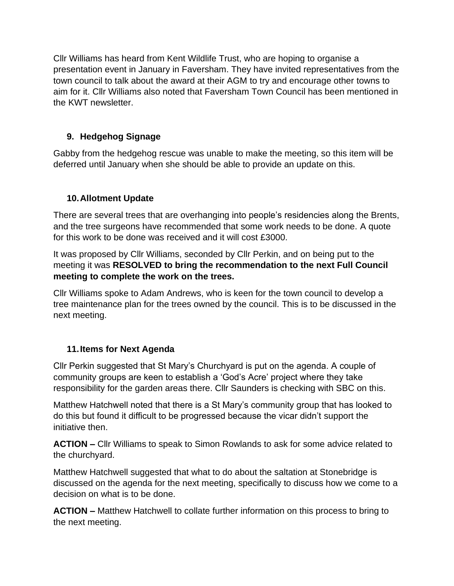Cllr Williams has heard from Kent Wildlife Trust, who are hoping to organise a presentation event in January in Faversham. They have invited representatives from the town council to talk about the award at their AGM to try and encourage other towns to aim for it. Cllr Williams also noted that Faversham Town Council has been mentioned in the KWT newsletter.

# **9. Hedgehog Signage**

Gabby from the hedgehog rescue was unable to make the meeting, so this item will be deferred until January when she should be able to provide an update on this.

# **10.Allotment Update**

There are several trees that are overhanging into people's residencies along the Brents, and the tree surgeons have recommended that some work needs to be done. A quote for this work to be done was received and it will cost £3000.

It was proposed by Cllr Williams, seconded by Cllr Perkin, and on being put to the meeting it was **RESOLVED to bring the recommendation to the next Full Council meeting to complete the work on the trees.**

Cllr Williams spoke to Adam Andrews, who is keen for the town council to develop a tree maintenance plan for the trees owned by the council. This is to be discussed in the next meeting.

## **11.Items for Next Agenda**

Cllr Perkin suggested that St Mary's Churchyard is put on the agenda. A couple of community groups are keen to establish a 'God's Acre' project where they take responsibility for the garden areas there. Cllr Saunders is checking with SBC on this.

Matthew Hatchwell noted that there is a St Mary's community group that has looked to do this but found it difficult to be progressed because the vicar didn't support the initiative then.

**ACTION –** Cllr Williams to speak to Simon Rowlands to ask for some advice related to the churchyard.

Matthew Hatchwell suggested that what to do about the saltation at Stonebridge is discussed on the agenda for the next meeting, specifically to discuss how we come to a decision on what is to be done.

**ACTION –** Matthew Hatchwell to collate further information on this process to bring to the next meeting.